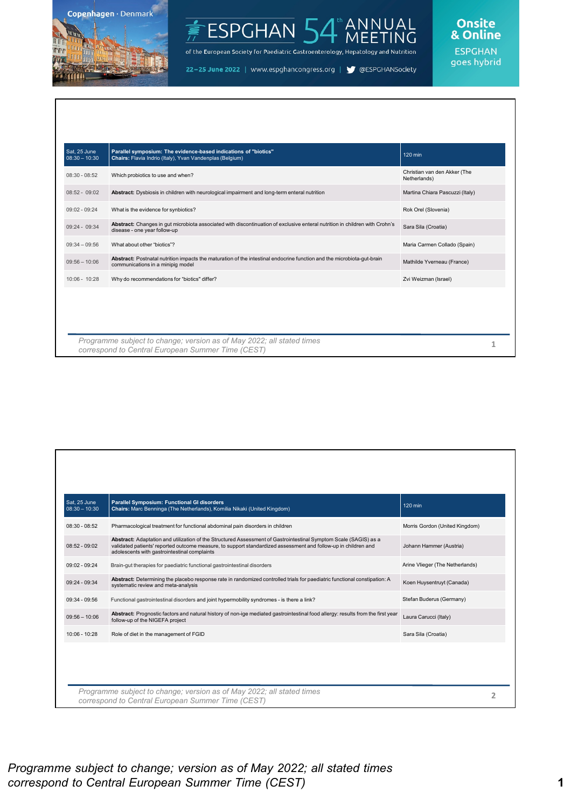

#### ANNUAL<br>MEETING ESPGHAN<sup>1</sup>

of the European Society for Paediatric Gastroenterology, Hepatology and Nutrition

22-25 June 2022 | www.espghancongress.org | S @ESPGHANSociety

### Onsite<br>& Online

| Sat, 25 June<br>$08:30 - 10:30$ | Parallel symposium: The evidence-based indications of "biotics"<br>Chairs: Flavia Indrio (Italy), Yvan Vandenplas (Belgium)                                 | 120 min                                      |
|---------------------------------|-------------------------------------------------------------------------------------------------------------------------------------------------------------|----------------------------------------------|
| $08:30 - 08:52$                 | Which probiotics to use and when?                                                                                                                           | Christian van den Akker (The<br>Netherlands) |
| $08:52 - 09:02$                 | Abstract: Dysbiosis in children with neurological impairment and long-term enteral nutrition                                                                | Martina Chiara Pascuzzi (Italy)              |
| $09:02 - 09:24$                 | What is the evidence for synbiotics?                                                                                                                        | Rok Orel (Slovenia)                          |
| 09:24 - 09:34                   | Abstract: Changes in gut microbiota associated with discontinuation of exclusive enteral nutrition in children with Crohn's<br>disease - one year follow-up | Sara Sila (Croatia)                          |
| $09:34 - 09:56$                 | What about other "biotics"?                                                                                                                                 | Maria Carmen Collado (Spain)                 |
| $09:56 - 10:06$                 | Abstract: Postnatal nutrition impacts the maturation of the intestinal endocrine function and the microbiota-gut-brain<br>communications in a minipig model | Mathilde Yverneau (France)                   |
| 10:06 - 10:28                   | Why do recommendations for "biotics" differ?                                                                                                                | Zvi Weizman (Israel)                         |
|                                 |                                                                                                                                                             |                                              |

| Sat. 25 June<br>$08:30 - 10:30$ | Parallel Symposium: Functional GI disorders<br>Chairs: Marc Benninga (The Netherlands), Kornilia Nikaki (United Kingdom)                                                                                                                                                           | 120 min                         |  |
|---------------------------------|------------------------------------------------------------------------------------------------------------------------------------------------------------------------------------------------------------------------------------------------------------------------------------|---------------------------------|--|
| $08:30 - 08:52$                 | Pharmacological treatment for functional abdominal pain disorders in children                                                                                                                                                                                                      | Morris Gordon (United Kingdom)  |  |
| $08:52 - 09:02$                 | Abstract: Adaptation and utilization of the Structured Assessment of Gastrointestinal Symptom Scale (SAGIS) as a<br>validated patients' reported outcome measure, to support standardized assessment and follow-up in children and<br>adolescents with gastrointestinal complaints | Johann Hammer (Austria)         |  |
| $09:02 - 09:24$                 | Brain-gut therapies for paediatric functional gastrointestinal disorders                                                                                                                                                                                                           | Arine Vlieger (The Netherlands) |  |
| $09:24 - 09:34$                 | Abstract: Determining the placebo response rate in randomized controlled trials for paediatric functional constipation: A<br>systematic review and meta-analysis                                                                                                                   | Koen Huysentruyt (Canada)       |  |
| $09:34 - 09:56$                 | Functional gastrointestinal disorders and joint hypermobility syndromes - is there a link?                                                                                                                                                                                         | Stefan Buderus (Germany)        |  |
| $09:56 - 10:06$                 | Abstract: Prognostic factors and natural history of non-ige mediated gastrointestinal food allergy: results from the first year<br>follow-up of the NIGEFA project                                                                                                                 | Laura Carucci (Italy)           |  |
| 10:06 - 10:28                   | Role of diet in the management of FGID                                                                                                                                                                                                                                             | Sara Sila (Croatia)             |  |
|                                 |                                                                                                                                                                                                                                                                                    |                                 |  |
|                                 |                                                                                                                                                                                                                                                                                    |                                 |  |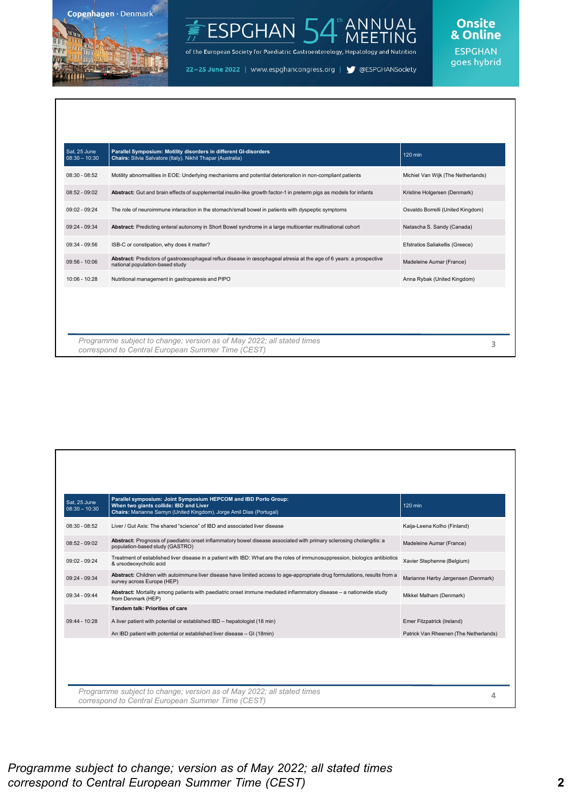

#### ANNUAL<br>MEETING ESPGHAN<sup>1</sup>

of the European Society for Paediatric Gastroenterology, Hepatology and Nutrition

22-25 June 2022 | www.espghancongress.org | S @ESPGHANSociety

## Onsite<br>& Online

| Sat. 25 June<br>$08:30 - 10:30$ | Parallel Symposium: Motility disorders in different GI-disorders<br>Chairs: Silvia Salvatore (Italy), Nikhil Thapar (Australia)                       | 120 min                            |
|---------------------------------|-------------------------------------------------------------------------------------------------------------------------------------------------------|------------------------------------|
| $08:30 - 08:52$                 | Motility abnormalities in EOE: Underlying mechanisms and potential deterioration in non-compliant patients                                            | Michiel Van Wijk (The Netherlands) |
| $08:52 - 09:02$                 | Abstract: Gut and brain effects of supplemental insulin-like growth factor-1 in preterm pigs as models for infants                                    | Kristine Holgersen (Denmark)       |
| $09:02 - 09:24$                 | The role of neuroimmune interaction in the stomach/small bowel in patients with dyspeptic symptoms                                                    | Osvaldo Borrelli (United Kingdom)  |
| $09:24 - 09:34$                 | Abstract: Predicting enteral autonomy in Short Bowel syndrome in a large multicenter multinational cohort                                             | Natascha S. Sandy (Canada)         |
| $09:34 - 09:56$                 | ISB-C or constipation, why does it matter?                                                                                                            | Efstratios Saliakellis (Greece)    |
| $09:56 - 10:06$                 | Abstract: Predictors of gastroœsophageal reflux disease in œsophageal atresia at the age of 6 years: a prospective<br>national population-based study | Madeleine Aumar (France)           |
| $10:06 - 10:28$                 | Nutritional management in gastroparesis and PIPO                                                                                                      | Anna Rybak (United Kingdom)        |
|                                 |                                                                                                                                                       |                                    |
|                                 |                                                                                                                                                       |                                    |
|                                 | Programme subject to change; version as of May 2022; all stated times                                                                                 |                                    |

| $08:30 - 08:52$<br>Liver / Gut Axis: The shared "science" of IBD and associated liver disease<br>Abstract: Prognosis of paediatric onset inflammatory bowel disease associated with primary sclerosing cholangitis: a<br>$08:52 - 09:02$<br>population-based study (GASTRO) | Kaija-Leena Kolho (Finland)           |
|-----------------------------------------------------------------------------------------------------------------------------------------------------------------------------------------------------------------------------------------------------------------------------|---------------------------------------|
|                                                                                                                                                                                                                                                                             |                                       |
|                                                                                                                                                                                                                                                                             | Madeleine Aumar (France)              |
| Treatment of established liver disease in a patient with IBD: What are the roles of immunosuppression, biologics antibiotics<br>$09:02 - 09:24$<br>& ursodeoxycholic acid                                                                                                   | Xavier Stephenne (Belgium)            |
| Abstract: Children with autoimmune liver disease have limited access to age-appropriate drug formulations, results from a<br>$09:24 - 09:34$<br>survey across Europe (HEP)                                                                                                  | Marianne Hørby Jørgensen (Denmark)    |
| Abstract: Mortality among patients with paediatric onset immune mediated inflammatory disease - a nationwide study<br>$09:34 - 09:44$<br>from Denmark (HEP)                                                                                                                 | Mikkel Malham (Denmark)               |
| Tandem talk: Priorities of care                                                                                                                                                                                                                                             |                                       |
| $09:44 - 10:28$<br>A liver patient with potential or established IBD - hepatologist (18 min)                                                                                                                                                                                | Emer Fitzpatrick (Ireland)            |
| An IBD patient with potential or established liver disease - GI (18min)                                                                                                                                                                                                     | Patrick Van Rheenen (The Netherlands) |
|                                                                                                                                                                                                                                                                             |                                       |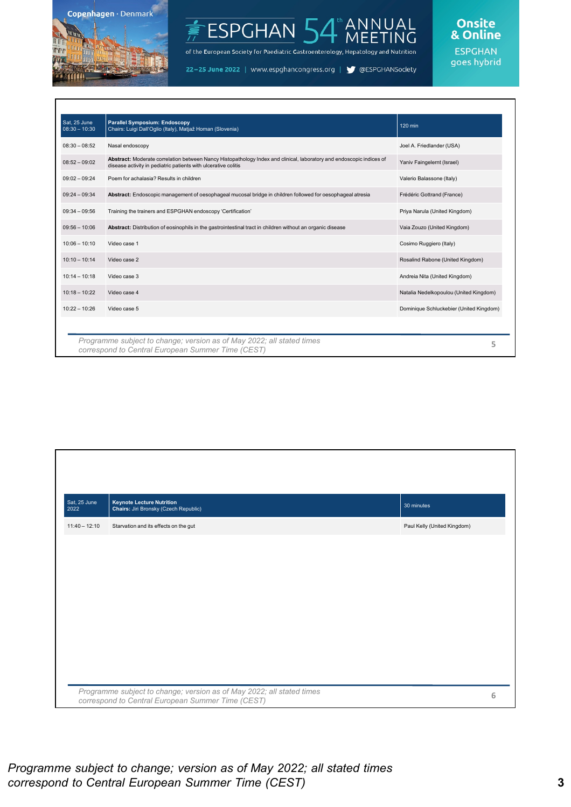

### NUAL<br>ETING **ESPGHAN**

of the European Society for Paediatric Gastroenterology, Hepatology and Nutrition

22-25 June 2022 | www.espghancongress.org | S @ESPGHANSociety

Onsite<br>& Online **ESPGHAN** goes hybrid

| Sat. 25 June<br>$08:30 - 10:30$ | <b>Parallel Symposium: Endoscopy</b><br>Chairs: Luigi Dall'Oglio (Italy), Matjaž Homan (Slovenia)                                                                                      | 120 min                                 |
|---------------------------------|----------------------------------------------------------------------------------------------------------------------------------------------------------------------------------------|-----------------------------------------|
| $08:30 - 08:52$                 | Nasal endoscopy                                                                                                                                                                        | Joel A. Friedlander (USA)               |
| $08:52 - 09:02$                 | Abstract: Moderate correlation between Nancy Histopathology Index and clinical, laboratory and endoscopic indices of<br>disease activity in pediatric patients with ulcerative colitis | Yaniv Faingelernt (Israel)              |
| $09:02 - 09:24$                 | Poem for achalasia? Results in children                                                                                                                                                | Valerio Balassone (Italy)               |
| $09:24 - 09:34$                 | Abstract: Endoscopic management of oesophageal mucosal bridge in children followed for oesophageal atresia                                                                             | Frédéric Gottrand (France)              |
| $09:34 - 09:56$                 | Training the trainers and ESPGHAN endoscopy 'Certification'                                                                                                                            | Priya Narula (United Kingdom)           |
| $09:56 - 10:06$                 | Abstract: Distribution of eosinophils in the gastrointestinal tract in children without an organic disease                                                                             | Vaia Zouzo (United Kingdom)             |
| $10:06 - 10:10$                 | Video case 1                                                                                                                                                                           | Cosimo Ruggiero (Italy)                 |
| $10:10 - 10:14$                 | Video case 2                                                                                                                                                                           | Rosalind Rabone (United Kingdom)        |
| $10:14 - 10:18$                 | Video case 3                                                                                                                                                                           | Andreia Nita (United Kingdom)           |
| $10:18 - 10:22$                 | Video case 4                                                                                                                                                                           | Natalia Nedelkopoulou (United Kingdom)  |
| $10:22 - 10:26$                 | Video case 5                                                                                                                                                                           | Dominique Schluckebier (United Kingdom) |
|                                 |                                                                                                                                                                                        |                                         |
|                                 | Programme subject to change; version as of May 2022; all stated times<br>correspond to Central European Summer Time (CEST)                                                             | 5                                       |

| Sat, 25 June<br>2022 | <b>Keynote Lecture Nutrition</b><br>Chairs: Jiri Bronsky (Czech Republic)                                                  | 30 minutes                  |   |
|----------------------|----------------------------------------------------------------------------------------------------------------------------|-----------------------------|---|
| $11:40 - 12:10$      | Starvation and its effects on the gut                                                                                      | Paul Kelly (United Kingdom) |   |
|                      |                                                                                                                            |                             |   |
|                      |                                                                                                                            |                             |   |
|                      |                                                                                                                            |                             |   |
|                      |                                                                                                                            |                             |   |
|                      |                                                                                                                            |                             |   |
|                      |                                                                                                                            |                             |   |
|                      |                                                                                                                            |                             |   |
|                      | Programme subject to change; version as of May 2022; all stated times<br>correspond to Central European Summer Time (CEST) |                             | 6 |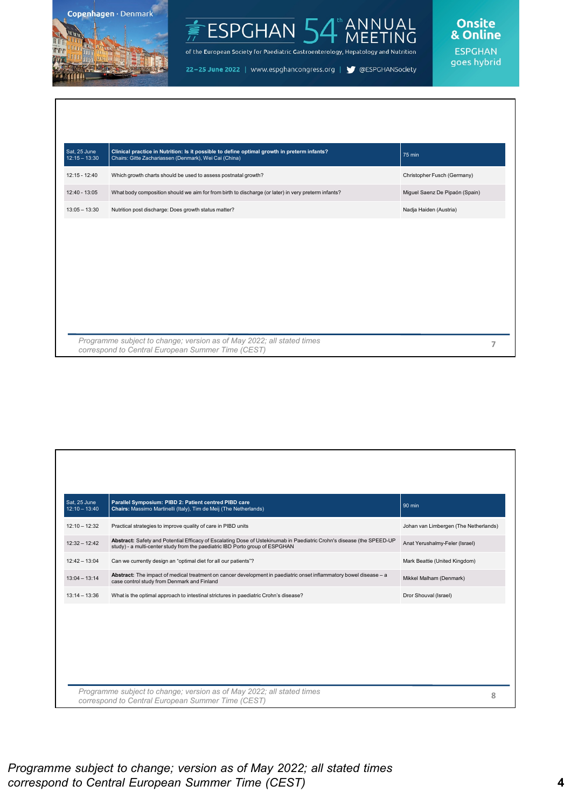



of the European Society for Paediatric Gastroenterology, Hepatology and Nutrition

22-25 June 2022 | www.espghancongress.org | S @ESPGHANSociety



| Sat, 25 June<br>$12:15 - 13:30$ | Clinical practice in Nutrition: Is it possible to define optimal growth in preterm infants?<br>Chairs: Gitte Zachariassen (Denmark), Wei Cai (China) | 75 min                         |
|---------------------------------|------------------------------------------------------------------------------------------------------------------------------------------------------|--------------------------------|
| $12:15 - 12:40$                 | Which growth charts should be used to assess postnatal growth?                                                                                       | Christopher Fusch (Germany)    |
| 12:40 - 13:05                   | What body composition should we aim for from birth to discharge (or later) in very preterm infants?                                                  | Miguel Saenz De Pipaón (Spain) |
| $13:05 - 13:30$                 | Nutrition post discharge: Does growth status matter?                                                                                                 | Nadja Haiden (Austria)         |
|                                 |                                                                                                                                                      |                                |
|                                 | Programme subject to change; version as of May 2022; all stated times<br>correspond to Central European Summer Time (CEST)                           |                                |

| Sat. 25 June<br>$12:10 - 13:40$ | Parallel Symposium: PIBD 2: Patient centred PIBD care<br>Chairs: Massimo Martinelli (Italy), Tim de Meij (The Netherlands)                                                                            | $90$ min                              |
|---------------------------------|-------------------------------------------------------------------------------------------------------------------------------------------------------------------------------------------------------|---------------------------------------|
| $12:10 - 12:32$                 | Practical strategies to improve quality of care in PIBD units                                                                                                                                         | Johan van Limbergen (The Netherlands) |
| $12:32 - 12:42$                 | Abstract: Safety and Potential Efficacy of Escalating Dose of Ustekinumab in Paediatric Crohn's disease (the SPEED-UP<br>study) - a multi-center study from the paediatric IBD Porto group of ESPGHAN | Anat Yerushalmy-Feler (Israel)        |
| $12:42 - 13:04$                 | Can we currently design an "optimal diet for all our patients"?                                                                                                                                       | Mark Beattie (United Kingdom)         |
| $13:04 - 13:14$                 | Abstract: The impact of medical treatment on cancer development in paediatric onset inflammatory bowel disease - a<br>case control study from Denmark and Finland                                     | Mikkel Malham (Denmark)               |
| $13:14 - 13:36$                 | What is the optimal approach to intestinal strictures in paediatric Crohn's disease?                                                                                                                  | Dror Shouval (Israel)                 |
|                                 |                                                                                                                                                                                                       |                                       |
|                                 | Programme subject to change; version as of May 2022; all stated times<br>correspond to Central European Summer Time (CEST)                                                                            | 8                                     |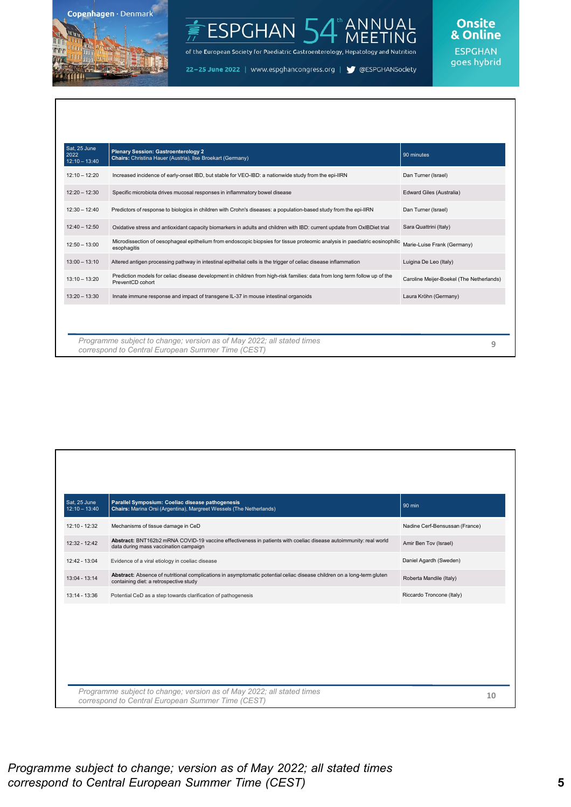

### NNUAL<br>IEETING **ESPGHAN**

of the European Society for Paediatric Gastroenterology, Hepatology and Nutrition

22-25 June 2022 | www.espghancongress.org | S @ESPGHANSociety

## Onsite<br>& Online

|                                                                                                                                                | 90 minutes                                                            |
|------------------------------------------------------------------------------------------------------------------------------------------------|-----------------------------------------------------------------------|
| Increased incidence of early-onset IBD, but stable for VEO-IBD: a nationwide study from the epi-IIRN                                           | Dan Turner (Israel)                                                   |
| Specific microbiota drives mucosal responses in inflammatory bowel disease                                                                     | Edward Giles (Australia)                                              |
| Predictors of response to biologics in children with Crohn's diseases: a population-based study from the epi-IIRN                              | Dan Turner (Israel)                                                   |
| Oxidative stress and antioxidant capacity biomarkers in adults and children with IBD: current update from OxIBDiet trial                       | Sara Quattrini (Italy)                                                |
| Microdissection of oesophageal epithelium from endoscopic biopsies for tissue proteomic analysis in paediatric eosinophilic<br>esophagitis     | Marie-Luise Frank (Germany)                                           |
| Altered antigen processing pathway in intestinal epithelial cells is the trigger of celiac disease inflammation                                | Luigina De Leo (Italy)                                                |
| Prediction models for celiac disease development in children from high-risk families: data from long term follow up of the<br>PreventCD cohort | Caroline Meijer-Boekel (The Netherlands)                              |
| Innate immune response and impact of transgene IL-37 in mouse intestinal organoids                                                             | Laura Kröhn (Germany)                                                 |
|                                                                                                                                                |                                                                       |
|                                                                                                                                                |                                                                       |
|                                                                                                                                                | Programme subject to change; version as of May 2022; all stated times |

| Sat, 25 June<br>$12:10 - 13:40$ | Parallel Symposium: Coeliac disease pathogenesis<br>Chairs: Marina Orsi (Argentina), Margreet Wessels (The Netherlands)                                          | 90 min                         |
|---------------------------------|------------------------------------------------------------------------------------------------------------------------------------------------------------------|--------------------------------|
| 12:10 - 12:32                   | Mechanisms of tissue damage in CeD                                                                                                                               | Nadine Cerf-Bensussan (France) |
| 12:32 - 12:42                   | Abstract: BNT162b2 mRNA COVID-19 vaccine effectiveness in patients with coeliac disease autoimmunity: real world<br>data during mass vaccination campaign        | Amir Ben Tov (Israel)          |
| 12:42 - 13:04                   | Evidence of a viral etiology in coeliac disease                                                                                                                  | Daniel Agardh (Sweden)         |
| $13:04 - 13:14$                 | Abstract: Absence of nutritional complications in asymptomatic potential celiac disease children on a long-term gluten<br>containing diet: a retrospective study | Roberta Mandile (Italy)        |
| $13:14 - 13:36$                 | Potential CeD as a step towards clarification of pathogenesis                                                                                                    | Riccardo Troncone (Italy)      |
|                                 |                                                                                                                                                                  |                                |
|                                 |                                                                                                                                                                  |                                |
|                                 |                                                                                                                                                                  |                                |
|                                 | Programme subject to change; version as of May 2022; all stated times<br>correspond to Central European Summer Time (CEST)                                       | 10                             |